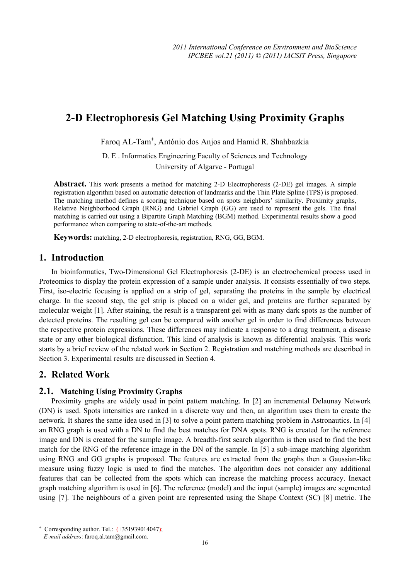# **2-D Electrophoresis Gel Matching Using Proximity Graphs**

Faroq AL-Tam<sup>+</sup>, António dos Anjos and Hamid R. Shahbazkia

D. E . Informatics Engineering Faculty of Sciences and Technology

University of Algarve - Portugal

**Abstract.** This work presents a method for matching 2-D Electrophoresis (2-DE) gel images. A simple registration algorithm based on automatic detection of landmarks and the Thin Plate Spline (TPS) is proposed. The matching method defines a scoring technique based on spots neighbors' similarity. Proximity graphs, Relative Neighborhood Graph (RNG) and Gabriel Graph (GG) are used to represent the gels. The final matching is carried out using a Bipartite Graph Matching (BGM) method. Experimental results show a good performance when comparing to state-of-the-art methods.

**Keywords:** matching, 2-D electrophoresis, registration, RNG, GG, BGM.

#### **1. Introduction**

In bioinformatics, Two-Dimensional Gel Electrophoresis (2-DE) is an electrochemical process used in Proteomics to display the protein expression of a sample under analysis. It consists essentially of two steps. First, iso-electric focusing is applied on a strip of gel, separating the proteins in the sample by electrical charge. In the second step, the gel strip is placed on a wider gel, and proteins are further separated by molecular weight [1]. After staining, the result is a transparent gel with as many dark spots as the number of detected proteins. The resulting gel can be compared with another gel in order to find differences between the respective protein expressions. These differences may indicate a response to a drug treatment, a disease state or any other biological disfunction. This kind of analysis is known as differential analysis. This work starts by a brief review of the related work in Section 2. Registration and matching methods are described in Section 3. Experimental results are discussed in Section 4.

# **2. Related Work**

#### **2.1. Matching Using Proximity Graphs**

Proximity graphs are widely used in point pattern matching. In [2] an incremental Delaunay Network (DN) is used. Spots intensities are ranked in a discrete way and then, an algorithm uses them to create the network. It shares the same idea used in [3] to solve a point pattern matching problem in Astronautics. In [4] an RNG graph is used with a DN to find the best matches for DNA spots. RNG is created for the reference image and DN is created for the sample image. A breadth-first search algorithm is then used to find the best match for the RNG of the reference image in the DN of the sample. In [5] a sub-image matching algorithm using RNG and GG graphs is proposed. The features are extracted from the graphs then a Gaussian-like measure using fuzzy logic is used to find the matches. The algorithm does not consider any additional features that can be collected from the spots which can increase the matching process accuracy. Inexact graph matching algorithm is used in [6]. The reference (model) and the input (sample) images are segmented using [7]. The neighbours of a given point are represented using the Shape Context (SC) [8] metric. The

 $\overline{a}$ 

<sup>+</sup> Corresponding author. Tel.: (+351939014047);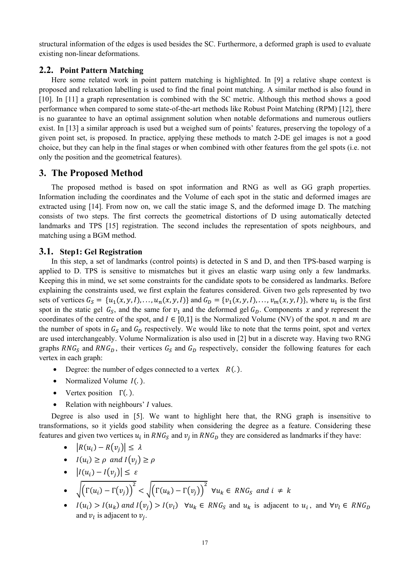structural information of the edges is used besides the SC. Furthermore, a deformed graph is used to evaluate existing non-linear deformations.

### **2.2. Point Pattern Matching**

Here some related work in point pattern matching is highlighted. In [9] a relative shape context is proposed and relaxation labelling is used to find the final point matching. A similar method is also found in [10]. In [11] a graph representation is combined with the SC metric. Although this method shows a good performance when compared to some state-of-the-art methods like Robust Point Matching (RPM) [12], there is no guarantee to have an optimal assignment solution when notable deformations and numerous outliers exist. In [13] a similar approach is used but a weighed sum of points' features, preserving the topology of a given point set, is proposed. In practice, applying these methods to match 2-DE gel images is not a good choice, but they can help in the final stages or when combined with other features from the gel spots (i.e. not only the position and the geometrical features).

## **3. The Proposed Method**

The proposed method is based on spot information and RNG as well as GG graph properties. Information including the coordinates and the Volume of each spot in the static and deformed images are extracted using [14]. From now on, we call the static image S, and the deformed image D. The matching consists of two steps. The first corrects the geometrical distortions of D using automatically detected landmarks and TPS [15] registration. The second includes the representation of spots neighbours, and matching using a BGM method.

#### **3.1. Step1: Gel Registration**

In this step, a set of landmarks (control points) is detected in S and D, and then TPS-based warping is applied to D. TPS is sensitive to mismatches but it gives an elastic warp using only a few landmarks. Keeping this in mind, we set some constraints for the candidate spots to be considered as landmarks. Before explaining the constraints used, we first explain the features considered. Given two gels represented by two sets of vertices  $G_S = \{u_1(x, y, l), \ldots, u_n(x, y, l)\}\$  and  $G_D = \{v_1(x, y, l), \ldots, v_m(x, y, l)\}\$ , where  $u_1$  is the first spot in the static gel  $G_S$ , and the same for  $v_1$  and the deformed gel  $G_D$ . Components x and y represent the coordinates of the centre of the spot, and  $I \in [0,1]$  is the Normalized Volume (NV) of the spot. *n* and *m* are the number of spots in  $G_S$  and  $G_D$  respectively. We would like to note that the terms point, spot and vertex are used interchangeably. Volume Normalization is also used in [2] but in a discrete way. Having two RNG graphs  $RNG_S$  and  $RNG_D$ , their vertices  $G_S$  and  $G_D$  respectively, consider the following features for each vertex in each graph:

- Degree: the number of edges connected to a vertex  $R(.)$ .
- Normalized Volume  $I(.)$ .
- Vertex position  $\Gamma(.)$ .
- Relation with neighbours'  *values.*

Degree is also used in [5]. We want to highlight here that, the RNG graph is insensitive to transformations, so it yields good stability when considering the degree as a feature. Considering these features and given two vertices  $u_i$  in  $RNG_S$  and  $v_j$  in  $RNG_D$  they are considered as landmarks if they have:

- $|R(u_i) R(v_i)| \leq \lambda$
- $I(u_i) \geq \rho$  and  $I(v_i) \geq \rho$
- $|I(u_i) I(v_j)| \leq \varepsilon$ •  $\sqrt{\left(\Gamma(u_i) - \Gamma(v_i)\right)^2} < \sqrt{\left(\Gamma(u_k) - \Gamma(v_i)\right)^2}$   $\forall u_k \in \mathbb{R} \setminus G_S$  and  $i \neq k$
- $I(u_i) > I(u_k)$  and  $I(v_i) > I(v_i)$   $\forall u_k \in RNG_S$  and  $u_k$  is adjacent to  $u_i$ , and  $\forall v_i \in RNG_D$ and  $v_i$  is adjacent to  $v_i$ .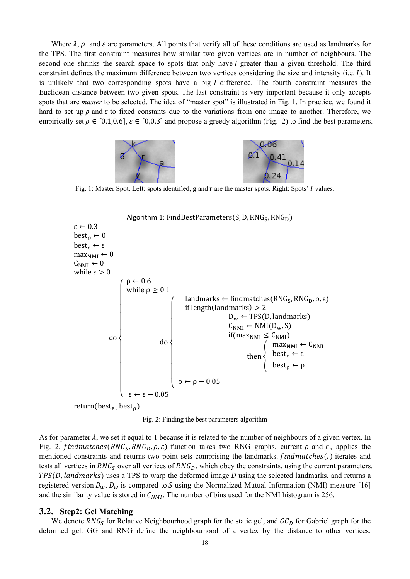Where  $\lambda$ ,  $\rho$  and  $\varepsilon$  are parameters. All points that verify all of these conditions are used as landmarks for the TPS. The first constraint measures how similar two given vertices are in number of neighbours. The second one shrinks the search space to spots that only have I greater than a given threshold. The third constraint defines the maximum difference between two vertices considering the size and intensity (i.e.  $I$ ). It is unlikely that two corresponding spots have a big  $I$  difference. The fourth constraint measures the Euclidean distance between two given spots. The last constraint is very important because it only accepts spots that are *master* to be selected. The idea of "master spot" is illustrated in Fig. 1. In practice, we found it hard to set up  $\rho$  and  $\varepsilon$  to fixed constants due to the variations from one image to another. Therefore, we empirically set  $\rho \in [0.1, 0.6]$ ,  $\varepsilon \in [0.0.3]$  and propose a greedy algorithm (Fig. 2) to find the best parameters.



Fig. 1: Master Spot. Left: spots identified, g and r are the master spots. Right: Spots' I values.



Fig. 2: Finding the best parameters algorithm

As for parameter  $\lambda$ , we set it equal to 1 because it is related to the number of neighbours of a given vertex. In Fig. 2, findmatches (RNG<sub>S</sub>, RNG<sub>D</sub>,  $\rho$ ,  $\varepsilon$ ) function takes two RNG graphs, current  $\rho$  and  $\varepsilon$ , applies the mentioned constraints and returns two point sets comprising the landmarks. findmatches(.) iterates and tests all vertices in  $RNG_S$  over all vertices of  $RNG_D$ , which obey the constraints, using the current parameters.  $TPS(D, \text{landmarks})$  uses a TPS to warp the deformed image  $D$  using the selected landmarks, and returns a registered version  $D_w$ .  $D_w$  is compared to S using the Normalized Mutual Information (NMI) measure [16] and the similarity value is stored in  $C_{NMI}$ . The number of bins used for the NMI histogram is 256.

#### **3.2. Step2: Gel Matching**

We denote  $RNG_S$  for Relative Neighbourhood graph for the static gel, and  $GG_D$  for Gabriel graph for the deformed gel. GG and RNG define the neighbourhood of a vertex by the distance to other vertices.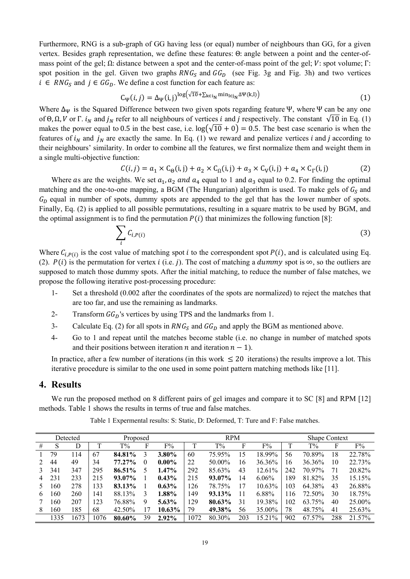Furthermore, RNG is a sub-graph of GG having less (or equal) number of neighbours than GG, for a given vertex. Besides graph representation, we define these features: Θ: angle between a point and the center-ofmass point of the gel; Ω: distance between a spot and the center-of-mass point of the gel;  $V$ : spot volume; Γ: spot position in the gel. Given two graphs  $RNG_S$  and  $GG_D$  (see Fig. 3g and Fig. 3h) and two vertices  $i \in \text{RNG}_S$  and  $j \in \text{GG}_D$ . We define a cost function for each feature as:

$$
C_{\Psi}(i,j) = \Delta_{\Psi}(i,j)^{\log(\sqrt{10} + \sum_{k \in i_N} \min_{l \in j_N} \Delta \Psi(k,l))}
$$
(1)

Where  $\Delta_{\Psi}$  is the Squared Difference between two given spots regarding feature Ψ, where Ψ can be any one of Θ, Ω, V or Γ.  $i_N$  and  $j_N$  refer to all neighbours of vertices i and j respectively. The constant  $\sqrt{10}$  in Eq. (1) makes the power equal to 0.5 in the best case, i.e.  $\log(\sqrt{10} + 0) = 0.5$ . The best case scenario is when the features of  $i_N$  and  $j_N$  are exactly the same. In Eq. (1) we reward and penalize vertices i and j according to their neighbours' similarity. In order to combine all the features, we first normalize them and weight them in a single multi-objective function:

$$
C(i,j) = a_1 \times C_{\Theta}(i,j) + a_2 \times C_{\Omega}(i,j) + a_3 \times C_V(i,j) + a_4 \times C_V(i,j)
$$
 (2)

Where as are the weights. We set  $a_1$ ,  $a_2$  and  $a_4$  equal to 1 and  $a_3$  equal to 0.2. For finding the optimal matching and the one-to-one mapping, a BGM (The Hungarian) algorithm is used. To make gels of  $G<sub>S</sub>$  and  $G<sub>D</sub>$  equal in number of spots, dummy spots are appended to the gel that has the lower number of spots. Finally, Eq. (2) is applied to all possible permutations, resulting in a square matrix to be used by BGM, and the optimal assignment is to find the permutation  $P(i)$  that minimizes the following function [8]:

$$
\sum_{i} C_{i,P(i)} \tag{3}
$$

Where  $C_{i,P(i)}$  is the cost value of matching spot *i* to the correspondent spot  $P(i)$ , and is calculated using Eq. (2).  $P(i)$  is the permutation for vertex *i* (i.e. *j*). The cost of matching a *dummy* spot is  $\infty$ , so the outliers are supposed to match those dummy spots. After the initial matching, to reduce the number of false matches, we propose the following iterative post-processing procedure:

- 1- Set a threshold (0.002 after the coordinates of the spots are normalized) to reject the matches that are too far, and use the remaining as landmarks.
- 2- Transform  $GG_p$ 's vertices by using TPS and the landmarks from 1.
- 3- Calculate Eq. (2) for all spots in  $RNG_S$  and  $GG_D$  and apply the BGM as mentioned above.
- 4- Go to 1 and repeat until the matches become stable (i.e. no change in number of matched spots and their positions between iteration *n* and iteration  $n - 1$ ).

In practice, after a few number of iterations (in this work  $\leq 20$  iterations) the results improve a lot. This iterative procedure is similar to the one used in some point pattern matching methods like [11].

#### **4. Results**

We run the proposed method on 8 different pairs of gel images and compare it to SC [8] and RPM [12] methods. Table 1 shows the results in terms of true and false matches.

|    |      | Detected | Proposed |        |    |          | <b>RPM</b> |           |     |        | <b>Shape Context</b> |        |     |        |
|----|------|----------|----------|--------|----|----------|------------|-----------|-----|--------|----------------------|--------|-----|--------|
| #  | S    | D        |          | $T\%$  | F  | $F\%$    |            | $T\%$     |     | F%     |                      | $T\%$  | F   | F%     |
|    | 79   | 114      | 67       | 84.81% | 3  | $3.80\%$ | 60         | 75.95%    | 15  | 18.99% | 56                   | 70.89% | 18  | 22.78% |
|    | 44   | 49       | 34       | 77.27% | 0  | $0.00\%$ | 22         | 50.00%    | 16  | 36.36% | 16                   | 36.36% | 10  | 22.73% |
|    | 341  | 347      | 295      | 86.51% |    | $1.47\%$ | 292        | 85.63%    | 43  | 12.61% | 242                  | 70.97% | 71  | 20.82% |
| 4  | 231  | 233      | 215      | 93.07% |    | $0.43\%$ | 215        | 93.07%    | 14  | 6.06%  | 189                  | 81.82% | 35  | 15.15% |
|    | 60   | 278      | 133      | 83.13% |    | $0.63\%$ | 126        | 78.75%    | 17  | 10.63% | 103                  | 64.38% | 43  | 26.88% |
| b. | 160  | 260      | 141      | 88.13% | 3  | 1.88%    | 149        | $93.13\%$ | 11  | 6.88%  | 116                  | 72.50% | 30  | 18.75% |
|    | 160  | 207      | 123      | 76.88% | 9  | $5.63\%$ | 129        | 80.63%    | 31  | 19.38% | 102                  | 63.75% | 40  | 25.00% |
| 8  | 160  | 185      | 68       | 42.50% | 17 | 10.63%   | 79         | 49.38%    | 56  | 35.00% | 78                   | 48.75% | 41  | 25.63% |
|    | 1335 | 1673     | 1076     | 80.60% | 39 | $2.92\%$ | 1072       | 80.30%    | 203 | 15.21% | 902                  | 67.57% | 288 | 21.57% |

Table 1 Expermental results: S: Static, D: Deformed, T: Ture and F: False matches.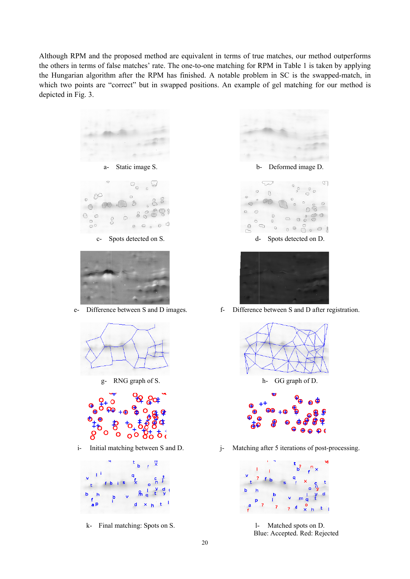Although RPM and the proposed method are equivalent in terms of true matches, our method outperforms the others in terms of false matches' rate. The one-to-one matching for RPM in Table 1 is taken by applying the Hungarian algorithm after the RPM has finished. A notable problem in SC is the swapped-match, in which two points are "correct" but in swapped positions. An example of gel matching for our method is depicted in Fig. 3.





k- Final matching: Spots on S.



 $d-$ Spots detected on D.



 $f-$ Difference between S and D after registration.



Matching after 5 iterations of post-processing.  $\mathbf{i}$ 



 $\mathbf{1}$ Matched spots on D. Blue: Accepted. Red: Rejected